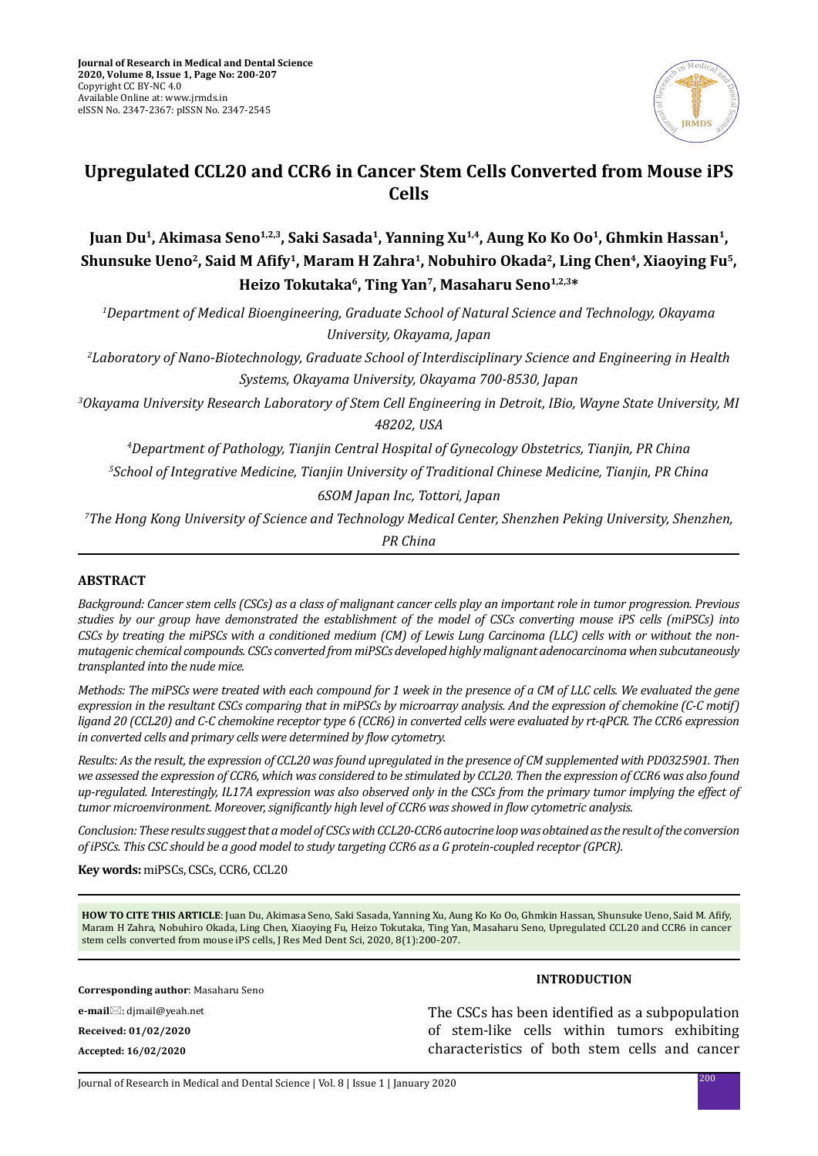

# **Upregulated CCL20 and CCR6 in Cancer Stem Cells Converted from Mouse iPS Cells**

**Juan Du1, Akimasa Seno1,2,3, Saki Sasada1, Yanning Xu1,4, Aung Ko Ko Oo1, Ghmkin Hassan1, Shunsuke Ueno2, Said M Afify1, Maram H Zahra1, Nobuhiro Okada2, Ling Chen4, Xiaoying Fu5, Heizo Tokutaka6, Ting Yan7, Masaharu Seno1,2,3\***

*1 Department of Medical Bioengineering, Graduate School of Natural Science and Technology, Okayama University, Okayama, Japan* 

*2 Laboratory of Nano-Biotechnology, Graduate School of Interdisciplinary Science and Engineering in Health Systems, Okayama University, Okayama 700-8530, Japan*

*3 Okayama University Research Laboratory of Stem Cell Engineering in Detroit, IBio, Wayne State University, MI 48202, USA*

*4 Department of Pathology, Tianjin Central Hospital of Gynecology Obstetrics, Tianjin, PR China*

*5 School of Integrative Medicine, Tianjin University of Traditional Chinese Medicine, Tianjin, PR China* 

*6SOM Japan Inc, Tottori, Japan*

*7 The Hong Kong University of Science and Technology Medical Center, Shenzhen Peking University, Shenzhen,* 

*PR China*

## **ABSTRACT**

*Background: Cancer stem cells (CSCs) as a class of malignant cancer cells play an important role in tumor progression. Previous studies by our group have demonstrated the establishment of the model of CSCs converting mouse iPS cells (miPSCs) into CSCs by treating the miPSCs with a conditioned medium (CM) of Lewis Lung Carcinoma (LLC) cells with or without the nonmutagenic chemical compounds. CSCs converted from miPSCs developed highly malignant adenocarcinoma when subcutaneously transplanted into the nude mice.* 

*Methods: The miPSCs were treated with each compound for 1 week in the presence of a CM of LLC cells. We evaluated the gene expression in the resultant CSCs comparing that in miPSCs by microarray analysis. And the expression of chemokine (C-C motif) ligand 20 (CCL20) and C-C chemokine receptor type 6 (CCR6) in converted cells were evaluated by rt-qPCR. The CCR6 expression in converted cells and primary cells were determined by flow cytometry.*

*Results: As the result, the expression of CCL20 was found upregulated in the presence of CM supplemented with PD0325901. Then we assessed the expression of CCR6, which was considered to be stimulated by CCL20. Then the expression of CCR6 was also found up-regulated. Interestingly, IL17A expression was also observed only in the CSCs from the primary tumor implying the effect of tumor microenvironment. Moreover, significantly high level of CCR6 was showed in flow cytometric analysis.*

*Conclusion: These results suggest that a model of CSCs with CCL20-CCR6 autocrine loop was obtained as the result of the conversion of iPSCs. This CSC should be a good model to study targeting CCR6 as a G protein-coupled receptor (GPCR).*

**Key words:** miPSCs, CSCs, CCR6, CCL20

**HOW TO CITE THIS ARTICLE**: Juan Du, Akimasa Seno, Saki Sasada, Yanning Xu, Aung Ko Ko Oo, Ghmkin Hassan, Shunsuke Ueno, Said M. Afify, Maram H Zahra, Nobuhiro Okada, Ling Chen, Xiaoying Fu, Heizo Tokutaka, Ting Yan, Masaharu Seno, Upregulated CCL20 and CCR6 in cancer stem cells converted from mouse iPS cells, J Res Med Dent Sci, 2020, 8(1):200-207.

**Corresponding author**: Masaharu Seno **e-mail**⊠: dimail@yeah.net **Received: 01/02/2020 Accepted: 16/02/2020**

**INTRODUCTION**

The CSCs has been identified as a subpopulation of stem-like cells within tumors exhibiting characteristics of both stem cells and cancer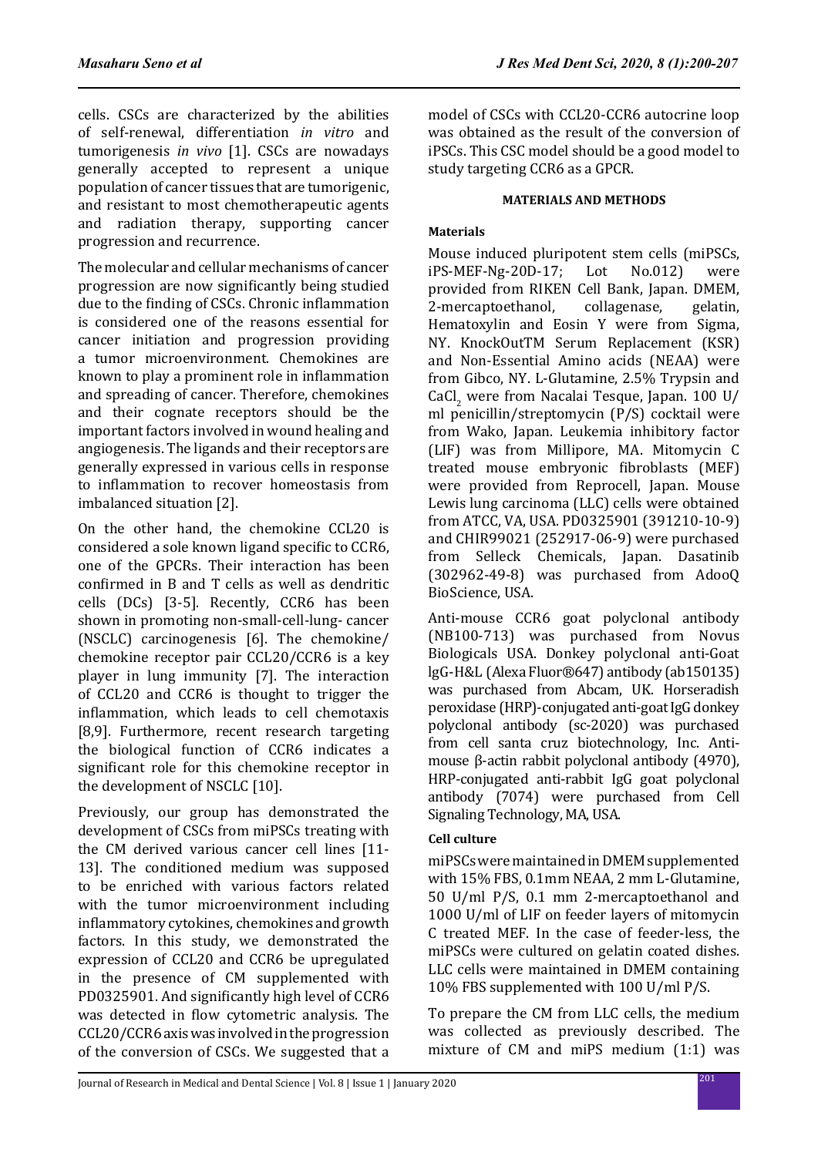cells. CSCs are characterized by the abilities of self-renewal, differentiation *in vitro* and tumorigenesis *in vivo* [1]. CSCs are nowadays generally accepted to represent a unique population of cancer tissues that are tumorigenic, and resistant to most chemotherapeutic agents and radiation therapy, supporting cancer progression and recurrence.

The molecular and cellular mechanisms of cancer progression are now significantly being studied due to the finding of CSCs. Chronic inflammation is considered one of the reasons essential for cancer initiation and progression providing a tumor microenvironment. Chemokines are known to play a prominent role in inflammation and spreading of cancer. Therefore, chemokines and their cognate receptors should be the important factors involved in wound healing and angiogenesis. The ligands and their receptors are generally expressed in various cells in response to inflammation to recover homeostasis from imbalanced situation [2].

On the other hand, the chemokine CCL20 is considered a sole known ligand specific to CCR6, one of the GPCRs. Their interaction has been confirmed in B and T cells as well as dendritic cells (DCs) [3-5]. Recently, CCR6 has been shown in promoting non-small-cell-lung- cancer (NSCLC) carcinogenesis [6]. The chemokine/ chemokine receptor pair CCL20/CCR6 is a key player in lung immunity [7]. The interaction of CCL20 and CCR6 is thought to trigger the inflammation, which leads to cell chemotaxis [8,9]. Furthermore, recent research targeting the biological function of CCR6 indicates a significant role for this chemokine receptor in the development of NSCLC [10].

Previously, our group has demonstrated the development of CSCs from miPSCs treating with the CM derived various cancer cell lines [11- 13]. The conditioned medium was supposed to be enriched with various factors related with the tumor microenvironment including inflammatory cytokines, chemokines and growth factors. In this study, we demonstrated the expression of CCL20 and CCR6 be upregulated in the presence of CM supplemented with PD0325901. And significantly high level of CCR6 was detected in flow cytometric analysis. The CCL20/CCR6 axis was involved in the progression of the conversion of CSCs. We suggested that a model of CSCs with CCL20-CCR6 autocrine loop was obtained as the result of the conversion of iPSCs. This CSC model should be a good model to study targeting CCR6 as a GPCR.

## **MATERIALS AND METHODS**

## **Materials**

Mouse induced pluripotent stem cells (miPSCs,<br>iPS-MEF-Ng-20D-17: Lot No.012) were  $iPS-MEF-Ng-20D-17$ : provided from RIKEN Cell Bank, Japan. DMEM,<br>2-mercaptoethanol, collagenase, gelatin, 2-mercaptoethanol, Hematoxylin and Eosin Y were from Sigma, NY. KnockOutTM Serum Replacement (KSR) and Non-Essential Amino acids (NEAA) were from Gibco, NY. L-Glutamine, 2.5% Trypsin and CaCl<sub>2</sub> were from Nacalai Tesque, Japan. 100 U/ ml penicillin/streptomycin (P/S) cocktail were from Wako, Japan. Leukemia inhibitory factor (LIF) was from Millipore, MA. Mitomycin C treated mouse embryonic fibroblasts (MEF) were provided from Reprocell, Japan. Mouse Lewis lung carcinoma (LLC) cells were obtained from ATCC, VA, USA. PD0325901 (391210-10-9) and CHIR99021 (252917-06-9) were purchased from Selleck Chemicals, Japan. Dasatinib (302962-49-8) was purchased from AdooQ BioScience, USA.

Anti-mouse CCR6 goat polyclonal antibody (NB100-713) was purchased from Novus Biologicals USA. Donkey polyclonal anti-Goat lgG-H&L (Alexa Fluor®647) antibody (ab150135) was purchased from Abcam, UK. Horseradish peroxidase (HRP)-conjugated anti-goat IgG donkey polyclonal antibody (sc-2020) was purchased from cell santa cruz biotechnology, Inc. Antimouse β-actin rabbit polyclonal antibody (4970), HRP-conjugated anti-rabbit IgG goat polyclonal antibody (7074) were purchased from Cell Signaling Technology, MA, USA.

## **Cell culture**

miPSCs were maintained in DMEM supplemented with 15% FBS, 0.1mm NEAA, 2 mm L-Glutamine, 50 U/ml P/S, 0.1 mm 2-mercaptoethanol and 1000 U/ml of LIF on feeder layers of mitomycin C treated MEF. In the case of feeder-less, the miPSCs were cultured on gelatin coated dishes. LLC cells were maintained in DMEM containing 10% FBS supplemented with 100 U/ml P/S.

To prepare the CM from LLC cells, the medium was collected as previously described. The mixture of CM and miPS medium (1:1) was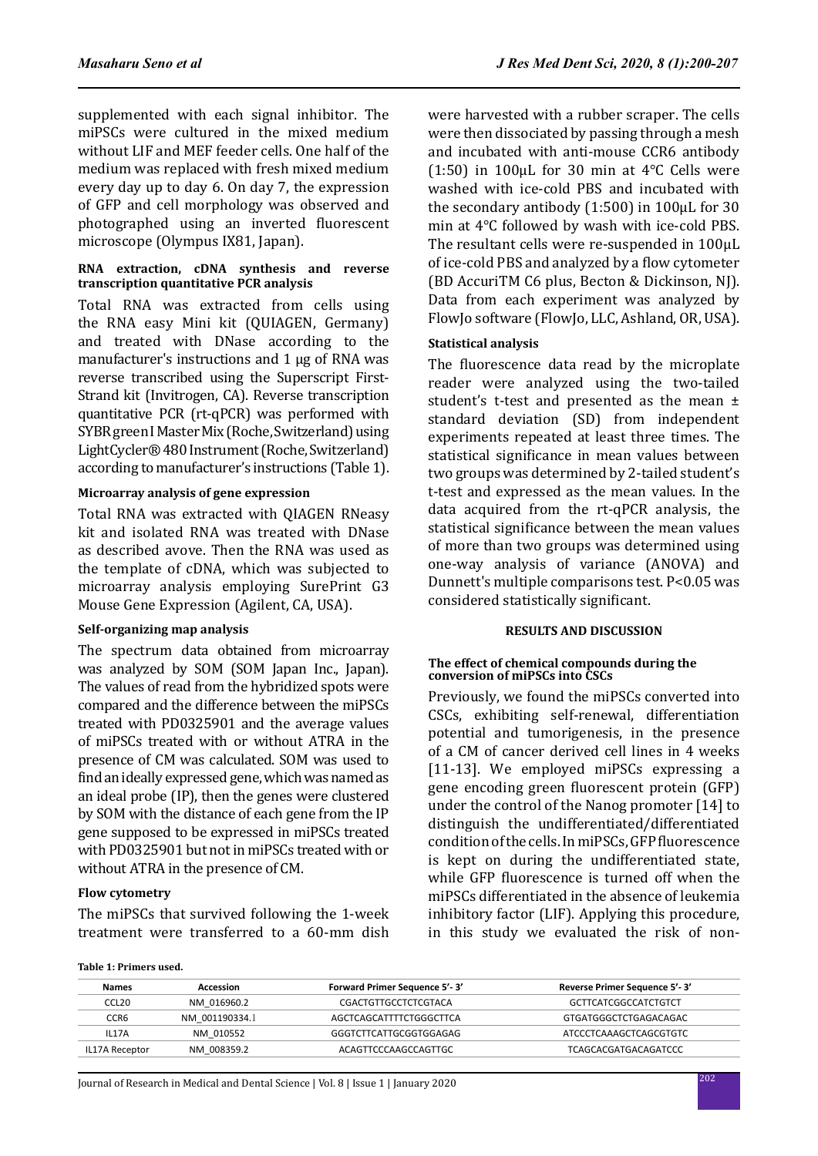supplemented with each signal inhibitor. The miPSCs were cultured in the mixed medium without LIF and MEF feeder cells. One half of the medium was replaced with fresh mixed medium every day up to day 6. On day 7, the expression of GFP and cell morphology was observed and photographed using an inverted fluorescent microscope (Olympus IX81, Japan).

## **RNA extraction, cDNA synthesis and reverse transcription quantitative PCR analysis**

Total RNA was extracted from cells using the RNA easy Mini kit (QUIAGEN, Germany) and treated with DNase according to the manufacturer's instructions and 1 μg of RNA was reverse transcribed using the Superscript First-Strand kit (Invitrogen, CA). Reverse transcription quantitative PCR (rt-qPCR) was performed with SYBR green I Master Mix (Roche, Switzerland) using LightCycler® 480 Instrument (Roche, Switzerland) according to manufacturer's instructions (Table 1).

## **Microarray analysis of gene expression**

Total RNA was extracted with QIAGEN RNeasy kit and isolated RNA was treated with DNase as described avove. Then the RNA was used as the template of cDNA, which was subjected to microarray analysis employing SurePrint G3 Mouse Gene Expression (Agilent, CA, USA).

## **Self-organizing map analysis**

The spectrum data obtained from microarray was analyzed by SOM (SOM Japan Inc., Japan). The values of read from the hybridized spots were compared and the difference between the miPSCs treated with PD0325901 and the average values of miPSCs treated with or without ATRA in the presence of CM was calculated. SOM was used to find an ideally expressed gene, which was named as an ideal probe (IP), then the genes were clustered by SOM with the distance of each gene from the IP gene supposed to be expressed in miPSCs treated with PD0325901 but not in miPSCs treated with or without ATRA in the presence of CM.

## **Flow cytometry**

The miPSCs that survived following the 1-week treatment were transferred to a 60-mm dish were harvested with a rubber scraper. The cells were then dissociated by passing through a mesh and incubated with anti-mouse CCR6 antibody (1:50) in 100 $\mu$ L for 30 min at 4°C Cells were washed with ice-cold PBS and incubated with the secondary antibody (1:500) in 100µL for 30 min at 4℃ followed by wash with ice-cold PBS. The resultant cells were re-suspended in 100µL of ice-cold PBS and analyzed by a flow cytometer (BD AccuriTM C6 plus, Becton & Dickinson, NJ). Data from each experiment was analyzed by FlowJo software (FlowJo, LLC, Ashland, OR, USA).

## **Statistical analysis**

The fluorescence data read by the microplate reader were analyzed using the two-tailed student's t-test and presented as the mean ± standard deviation (SD) from independent experiments repeated at least three times. The statistical significance in mean values between two groups was determined by 2-tailed student's t-test and expressed as the mean values. In the data acquired from the rt-qPCR analysis, the statistical significance between the mean values of more than two groups was determined using one-way analysis of variance (ANOVA) and Dunnett's multiple comparisons test. P<0.05 was considered statistically significant.

## **RESULTS AND DISCUSSION**

#### **The effect of chemical compounds during the conversion of miPSCs into CSCs**

Previously, we found the miPSCs converted into CSCs, exhibiting self-renewal, differentiation potential and tumorigenesis, in the presence of a CM of cancer derived cell lines in 4 weeks [11-13]. We employed miPSCs expressing a gene encoding green fluorescent protein (GFP) under the control of the Nanog promoter [14] to distinguish the undifferentiated/differentiated condition of the cells. In miPSCs, GFP fluorescence is kept on during the undifferentiated state, while GFP fluorescence is turned off when the miPSCs differentiated in the absence of leukemia inhibitory factor (LIF). Applying this procedure, in this study we evaluated the risk of non-

**Table 1: Primers used.**

| Names             | Accession                           | <b>Forward Primer Sequence 5'-3'</b> | Reverse Primer Sequence 5'-3' |  |
|-------------------|-------------------------------------|--------------------------------------|-------------------------------|--|
| CCL <sub>20</sub> | NM 016960.2                         | CGACTGTTGCCTCTCGTACA                 | <b>GCTTCATCGGCCATCTGTCT</b>   |  |
| CCR <sub>6</sub>  | NM 001190334.1                      | AGCTCAGCATTTTCTGGGCTTCA              | GTGATGGGCTCTGAGACAGAC         |  |
| <b>IL17A</b>      | NM 010552<br>GGGTCTTCATTGCGGTGGAGAG |                                      | ATCCCTCAAAGCTCAGCGTGTC        |  |
| IL17A Receptor    | NM 008359.2                         | ACAGTTCCCAAGCCAGTTGC                 | <b>TCAGCACGATGACAGATCCC</b>   |  |

<sup>202</sup> Journal of Research in Medical and Dental Science | Vol. 8 | Issue 1 | January 2020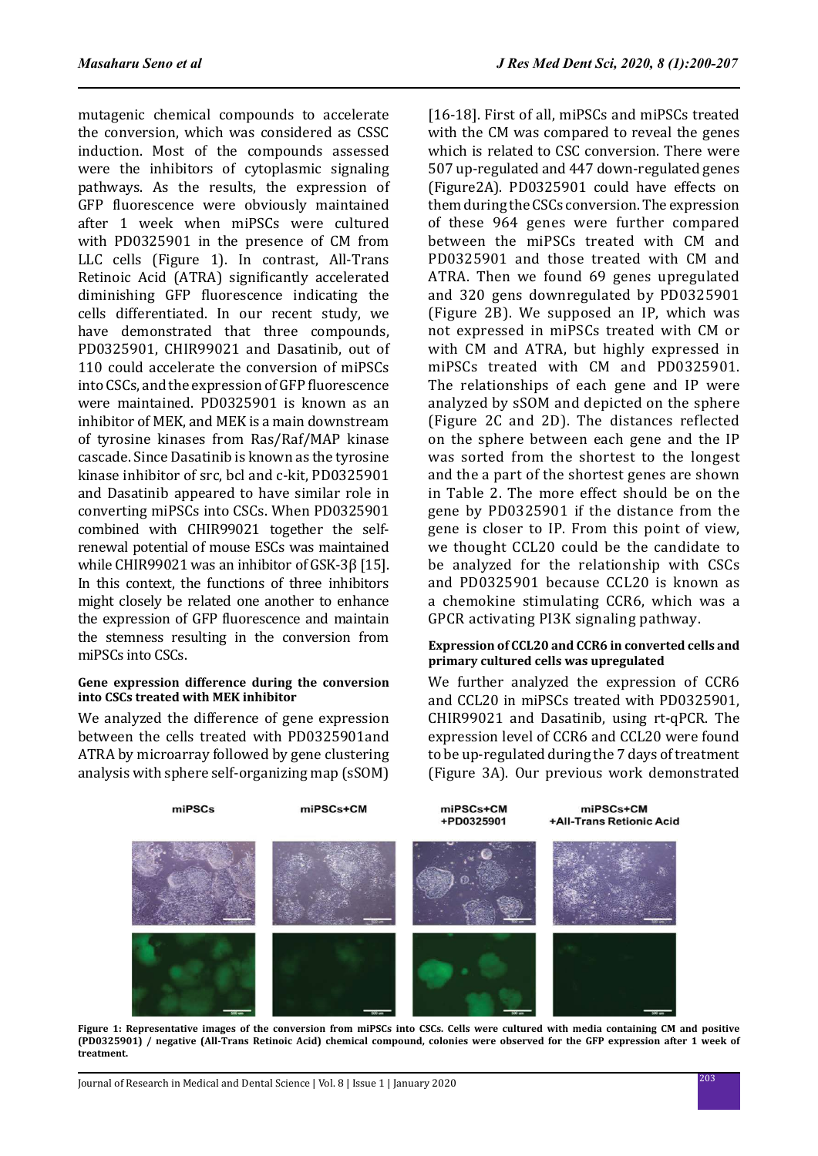mutagenic chemical compounds to accelerate the conversion, which was considered as CSSC induction. Most of the compounds assessed were the inhibitors of cytoplasmic signaling pathways. As the results, the expression of GFP fluorescence were obviously maintained after 1 week when miPSCs were cultured with PD0325901 in the presence of CM from LLC cells (Figure 1). In contrast, All-Trans Retinoic Acid (ATRA) significantly accelerated diminishing GFP fluorescence indicating the cells differentiated. In our recent study, we have demonstrated that three compounds, PD0325901, CHIR99021 and Dasatinib, out of 110 could accelerate the conversion of miPSCs into CSCs, and the expression of GFP fluorescence were maintained. PD0325901 is known as an inhibitor of MEK, and MEK is a main downstream of tyrosine kinases from Ras/Raf/MAP kinase cascade. Since Dasatinib is known as the tyrosine kinase inhibitor of src, bcl and c-kit, PD0325901 and Dasatinib appeared to have similar role in converting miPSCs into CSCs. When PD0325901 combined with CHIR99021 together the selfrenewal potential of mouse ESCs was maintained while CHIR99021 was an inhibitor of GSK-3ß [15]. In this context, the functions of three inhibitors might closely be related one another to enhance the expression of GFP fluorescence and maintain the stemness resulting in the conversion from miPSCs into CSCs.

## **Gene expression difference during the conversion into CSCs treated with MEK inhibitor**

We analyzed the difference of gene expression between the cells treated with PD0325901and ATRA by microarray followed by gene clustering analysis with sphere self-organizing map (sSOM)

[16-18]. First of all. miPSCs and miPSCs treated with the CM was compared to reveal the genes which is related to CSC conversion. There were 507 up-regulated and 447 down-regulated genes (Figure2A). PD0325901 could have effects on them during the CSCs conversion. The expression of these 964 genes were further compared between the miPSCs treated with CM and PD0325901 and those treated with CM and ATRA. Then we found 69 genes upregulated and 320 gens downregulated by PD0325901 (Figure 2B). We supposed an IP, which was not expressed in miPSCs treated with CM or with CM and ATRA, but highly expressed in miPSCs treated with CM and PD0325901. The relationships of each gene and IP were analyzed by sSOM and depicted on the sphere (Figure 2C and 2D). The distances reflected on the sphere between each gene and the IP was sorted from the shortest to the longest and the a part of the shortest genes are shown in Table 2. The more effect should be on the gene by PD0325901 if the distance from the gene is closer to IP. From this point of view, we thought CCL20 could be the candidate to be analyzed for the relationship with CSCs and PD0325901 because CCL20 is known as a chemokine stimulating CCR6, which was a GPCR activating PI3K signaling pathway.

## **Expression of CCL20 and CCR6 in converted cells and primary cultured cells was upregulated**

We further analyzed the expression of CCR6 and CCL20 in miPSCs treated with PD0325901, CHIR99021 and Dasatinib, using rt-qPCR. The expression level of CCR6 and CCL20 were found to be up-regulated during the 7 days of treatment (Figure 3A). Our previous work demonstrated



**Figure 1: Representative images of the conversion from miPSCs into CSCs. Cells were cultured with media containing CM and positive (PD0325901) / negative (All-Trans Retinoic Acid) chemical compound, colonies were observed for the GFP expression after 1 week of treatment.**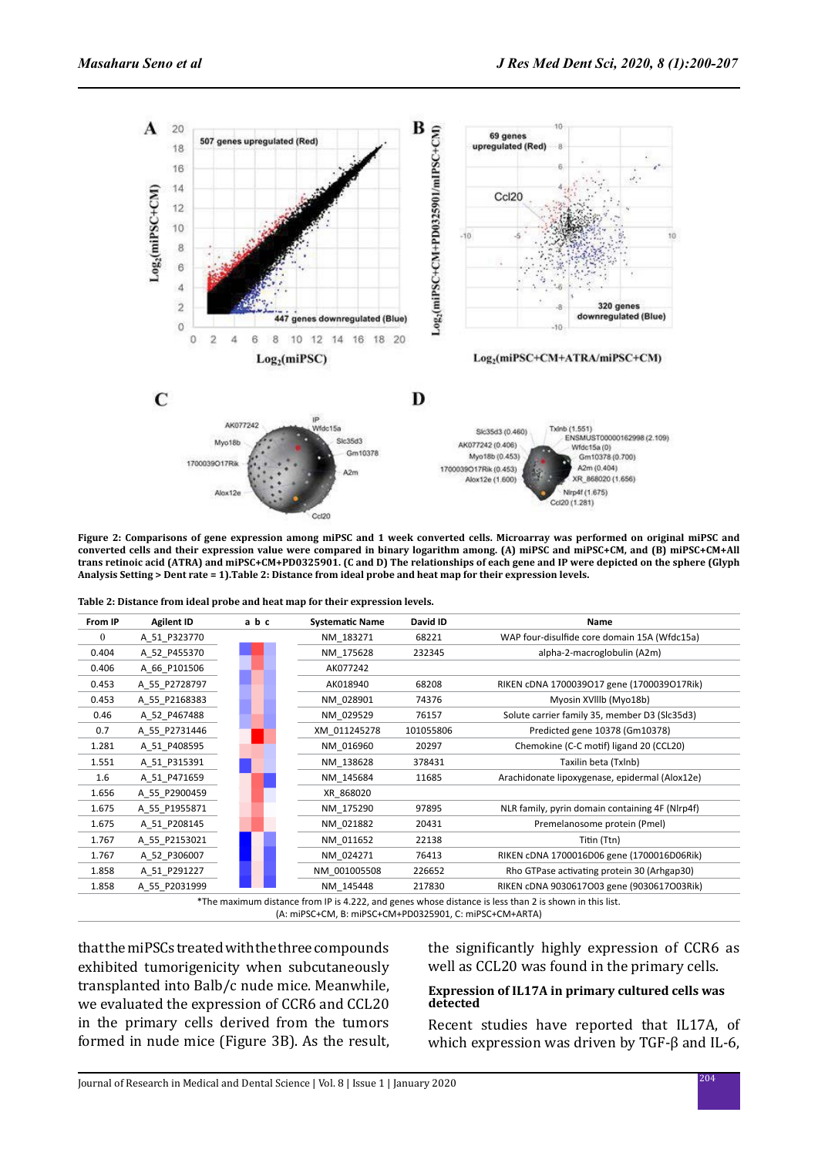

**Figure 2: Comparisons of gene expression among miPSC and 1 week converted cells. Microarray was performed on original miPSC and converted cells and their expression value were compared in binary logarithm among. (A) miPSC and miPSC+CM, and (B) miPSC+CM+All trans retinoic acid (ATRA) and miPSC+CM+PD0325901. (C and D) The relationships of each gene and IP were depicted on the sphere (Glyph Analysis Setting > Dent rate = 1).Table 2: Distance from ideal probe and heat map for their expression levels.**

**Table 2: Distance from ideal probe and heat map for their expression levels.**

| From IP      | <b>Agilent ID</b>                                                                                      | abc | <b>Systematic Name</b> | David ID  | Name                                            |  |  |  |
|--------------|--------------------------------------------------------------------------------------------------------|-----|------------------------|-----------|-------------------------------------------------|--|--|--|
| $\mathbf{0}$ | A 51 P323770                                                                                           |     | NM 183271              | 68221     | WAP four-disulfide core domain 15A (Wfdc15a)    |  |  |  |
| 0.404        | A 52 P455370                                                                                           |     | NM 175628              | 232345    | alpha-2-macroglobulin (A2m)                     |  |  |  |
| 0.406        | A 66 P101506                                                                                           |     | AK077242               |           |                                                 |  |  |  |
| 0.453        | A 55 P2728797                                                                                          |     | AK018940               | 68208     | RIKEN cDNA 1700039017 gene (1700039017Rik)      |  |  |  |
| 0.453        | A 55 P2168383                                                                                          |     | NM 028901              | 74376     | Myosin XVIIIb (Myo18b)                          |  |  |  |
| 0.46         | A_52_P467488                                                                                           |     | NM 029529              | 76157     | Solute carrier family 35, member D3 (Slc35d3)   |  |  |  |
| 0.7          | A_55_P2731446                                                                                          |     | XM 011245278           | 101055806 | Predicted gene 10378 (Gm10378)                  |  |  |  |
| 1.281        | A 51 P408595                                                                                           |     | NM 016960              | 20297     | Chemokine (C-C motif) ligand 20 (CCL20)         |  |  |  |
| 1.551        | A_51_P315391                                                                                           |     | NM 138628              | 378431    | Taxilin beta (Txlnb)                            |  |  |  |
| 1.6          | A_51_P471659                                                                                           |     | NM 145684              | 11685     | Arachidonate lipoxygenase, epidermal (Alox12e)  |  |  |  |
| 1.656        | A 55 P2900459                                                                                          |     | XR 868020              |           |                                                 |  |  |  |
| 1.675        | A 55 P1955871                                                                                          |     | NM 175290              | 97895     | NLR family, pyrin domain containing 4F (Nlrp4f) |  |  |  |
| 1.675        | A 51 P208145                                                                                           |     | NM 021882              | 20431     | Premelanosome protein (Pmel)                    |  |  |  |
| 1.767        | A 55 P2153021                                                                                          |     | NM 011652              | 22138     | Titin (Ttn)                                     |  |  |  |
| 1.767        | A 52 P306007                                                                                           |     | NM 024271              | 76413     | RIKEN cDNA 1700016D06 gene (1700016D06Rik)      |  |  |  |
| 1.858        | A 51 P291227                                                                                           |     | NM 001005508           | 226652    | Rho GTPase activating protein 30 (Arhgap30)     |  |  |  |
| 1.858        | A 55 P2031999                                                                                          |     | NM 145448              | 217830    | RIKEN cDNA 9030617003 gene (9030617003Rik)      |  |  |  |
|              | *The maximum distance from IP is 4.222, and genes whose distance is less than 2 is shown in this list. |     |                        |           |                                                 |  |  |  |

(A: miPSC+CM, B: miPSC+CM+PD0325901, C: miPSC+CM+ARTA)

that the miPSCs treated with the three compounds exhibited tumorigenicity when subcutaneously transplanted into Balb/c nude mice. Meanwhile, we evaluated the expression of CCR6 and CCL20 in the primary cells derived from the tumors formed in nude mice (Figure 3B). As the result, the significantly highly expression of CCR6 as well as CCL20 was found in the primary cells.

## **Expression of IL17A in primary cultured cells was detected**

Recent studies have reported that IL17A, of which expression was driven by TGF-β and IL-6,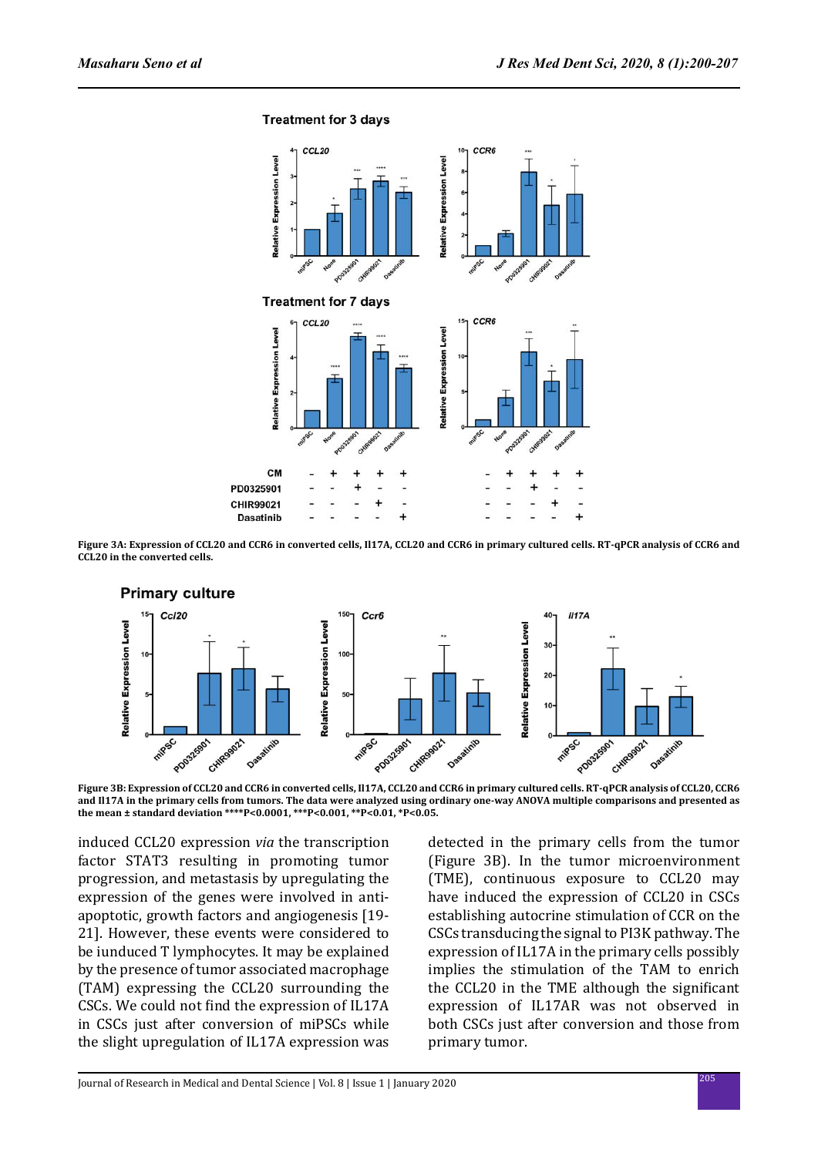**Treatment for 3 days** 



**Figure 3A: Expression of CCL20 and CCR6 in converted cells, Il17A, CCL20 and CCR6 in primary cultured cells. RT-qPCR analysis of CCR6 and CCL20 in the converted cells.**



**Figure 3B: Expression of CCL20 and CCR6 in converted cells, Il17A, CCL20 and CCR6 in primary cultured cells. RT-qPCR analysis of CCL20, CCR6 and Il17A in the primary cells from tumors. The data were analyzed using ordinary one-way ANOVA multiple comparisons and presented as the mean ± standard deviation \*\*\*\*P<0.0001, \*\*\*P<0.001, \*\*P<0.01, \*P<0.05.**

induced CCL20 expression *via* the transcription factor STAT3 resulting in promoting tumor progression, and metastasis by upregulating the expression of the genes were involved in antiapoptotic, growth factors and angiogenesis [19- 21]. However, these events were considered to be iunduced T lymphocytes. It may be explained by the presence of tumor associated macrophage (TAM) expressing the CCL20 surrounding the CSCs. We could not find the expression of IL17A in CSCs just after conversion of miPSCs while the slight upregulation of IL17A expression was detected in the primary cells from the tumor (Figure 3B). In the tumor microenvironment (TME), continuous exposure to CCL20 may have induced the expression of CCL20 in CSCs establishing autocrine stimulation of CCR on the CSCs transducing the signal to PI3K pathway. The expression of IL17A in the primary cells possibly implies the stimulation of the TAM to enrich the CCL20 in the TME although the significant expression of IL17AR was not observed in both CSCs just after conversion and those from primary tumor.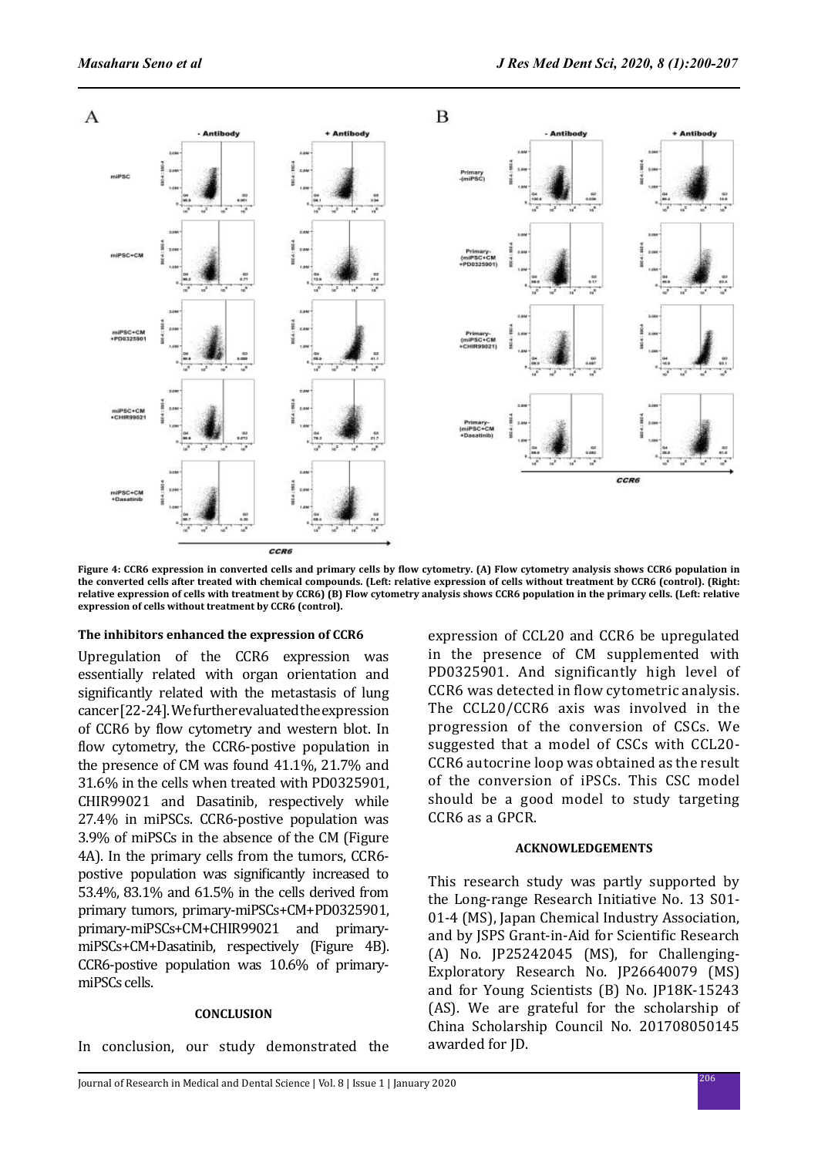

**Figure 4: CCR6 expression in converted cells and primary cells by flow cytometry. (A) Flow cytometry analysis shows CCR6 population in the converted cells after treated with chemical compounds. (Left: relative expression of cells without treatment by CCR6 (control). (Right: relative expression of cells with treatment by CCR6) (B) Flow cytometry analysis shows CCR6 population in the primary cells. (Left: relative expression of cells without treatment by CCR6 (control).**

## **The inhibitors enhanced the expression of CCR6**

Upregulation of the CCR6 expression was essentially related with organ orientation and significantly related with the metastasis of lung cancer [22-24]. We further evaluated the expression of CCR6 by flow cytometry and western blot. In flow cytometry, the CCR6-postive population in the presence of CM was found 41.1%, 21.7% and 31.6% in the cells when treated with PD0325901, CHIR99021 and Dasatinib, respectively while 27.4% in miPSCs. CCR6-postive population was 3.9% of miPSCs in the absence of the CM (Figure 4A). In the primary cells from the tumors, CCR6 postive population was significantly increased to 53.4%, 83.1% and 61.5% in the cells derived from primary tumors, primary-miPSCs+CM+PD0325901, primary-miPSCs+CM+CHIR99021 and primarymiPSCs+CM+Dasatinib, respectively (Figure 4B). CCR6-postive population was 10.6% of primarymiPSCs cells.

#### **CONCLUSION**

In conclusion, our study demonstrated the

expression of CCL20 and CCR6 be upregulated in the presence of CM supplemented with PD0325901. And significantly high level of CCR6 was detected in flow cytometric analysis. The CCL20/CCR6 axis was involved in the progression of the conversion of CSCs. We suggested that a model of CSCs with CCL20- CCR6 autocrine loop was obtained as the result of the conversion of iPSCs. This CSC model should be a good model to study targeting CCR6 as a GPCR.

#### **ACKNOWLEDGEMENTS**

This research study was partly supported by the Long-range Research Initiative No. 13 S01- 01-4 (MS), Japan Chemical Industry Association, and by JSPS Grant-in-Aid for Scientific Research (A) No. JP25242045 (MS), for Challenging-Exploratory Research No. JP26640079 (MS) and for Young Scientists (B) No. JP18K-15243 (AS). We are grateful for the scholarship of China Scholarship Council No. 201708050145 awarded for JD.